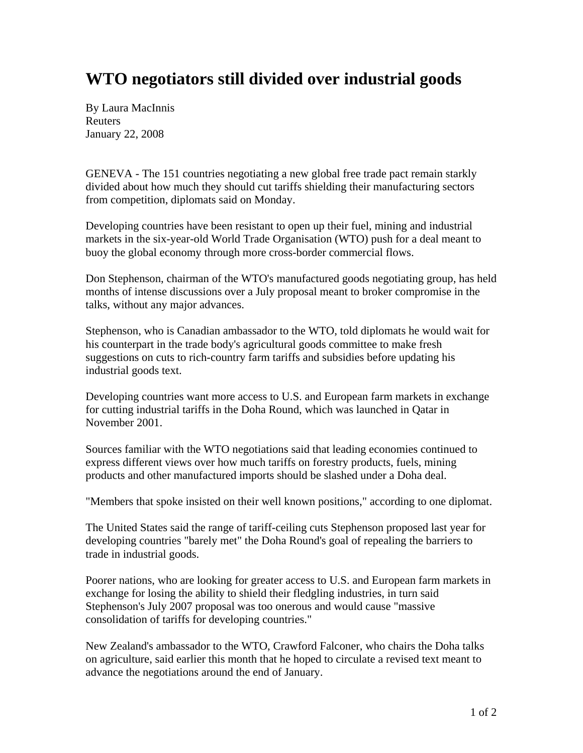## **WTO negotiators still divided over industrial goods**

By Laura MacInnis Reuters January 22, 2008

GENEVA - The 151 countries negotiating a new global free trade pact remain starkly divided about how much they should cut tariffs shielding their manufacturing sectors from competition, diplomats said on Monday.

Developing countries have been resistant to open up their fuel, mining and industrial markets in the six-year-old World Trade Organisation (WTO) push for a deal meant to buoy the global economy through more cross-border commercial flows.

Don Stephenson, chairman of the WTO's manufactured goods negotiating group, has held months of intense discussions over a July proposal meant to broker compromise in the talks, without any major advances.

Stephenson, who is Canadian ambassador to the WTO, told diplomats he would wait for his counterpart in the trade body's agricultural goods committee to make fresh suggestions on cuts to rich-country farm tariffs and subsidies before updating his industrial goods text.

Developing countries want more access to U.S. and European farm markets in exchange for cutting industrial tariffs in the Doha Round, which was launched in Qatar in November 2001.

Sources familiar with the WTO negotiations said that leading economies continued to express different views over how much tariffs on forestry products, fuels, mining products and other manufactured imports should be slashed under a Doha deal.

"Members that spoke insisted on their well known positions," according to one diplomat.

The United States said the range of tariff-ceiling cuts Stephenson proposed last year for developing countries "barely met" the Doha Round's goal of repealing the barriers to trade in industrial goods.

Poorer nations, who are looking for greater access to U.S. and European farm markets in exchange for losing the ability to shield their fledgling industries, in turn said Stephenson's July 2007 proposal was too onerous and would cause "massive consolidation of tariffs for developing countries."

New Zealand's ambassador to the WTO, Crawford Falconer, who chairs the Doha talks on agriculture, said earlier this month that he hoped to circulate a revised text meant to advance the negotiations around the end of January.